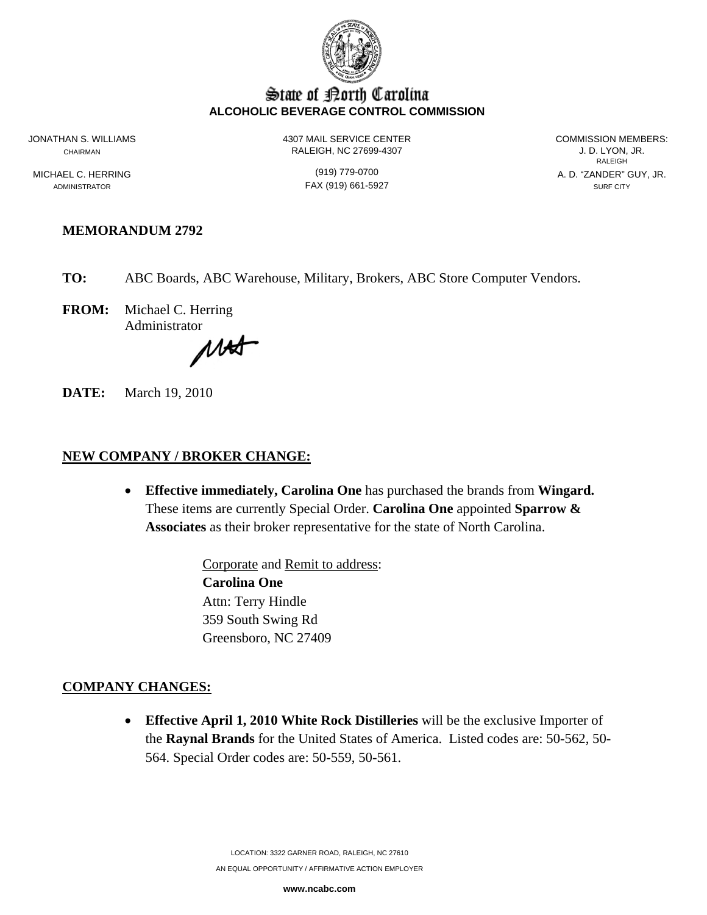

## State of Borth Carolina **ALCOHOLIC BEVERAGE CONTROL COMMISSION**

JONATHAN S. WILLIAMS 4307 MAIL SERVICE CENTER COMMISSION MEMBERS: CHAIRMAN CHAIRMAN CHAIRMAN RALEIGH, NC 27699-4307 CHAIRMAN J. D. LYON, JR.

**RALEIGH RALEIGH** MICHAEL C. HERRING (919) 779-0700 A. D. "ZANDER" GUY, JR.

ADMINISTRATOR SURF CITY CONTROL CONTROL CONTROL FAX (919) 661-5927 SURF CITY

## **MEMORANDUM 2792**

**TO:** ABC Boards, ABC Warehouse, Military, Brokers, ABC Store Computer Vendors.

**FROM:** Michael C. Herring Administrator

MAST

**DATE:** March 19, 2010

# **NEW COMPANY / BROKER CHANGE:**

• **Effective immediately, Carolina One** has purchased the brands from **Wingard.**  These items are currently Special Order. **Carolina One** appointed **Sparrow & Associates** as their broker representative for the state of North Carolina.

> Corporate and Remit to address: **Carolina One**  Attn: Terry Hindle 359 South Swing Rd Greensboro, NC 27409

## **COMPANY CHANGES:**

• **Effective April 1, 2010 White Rock Distilleries** will be the exclusive Importer of the **Raynal Brands** for the United States of America. Listed codes are: 50-562, 50- 564. Special Order codes are: 50-559, 50-561.